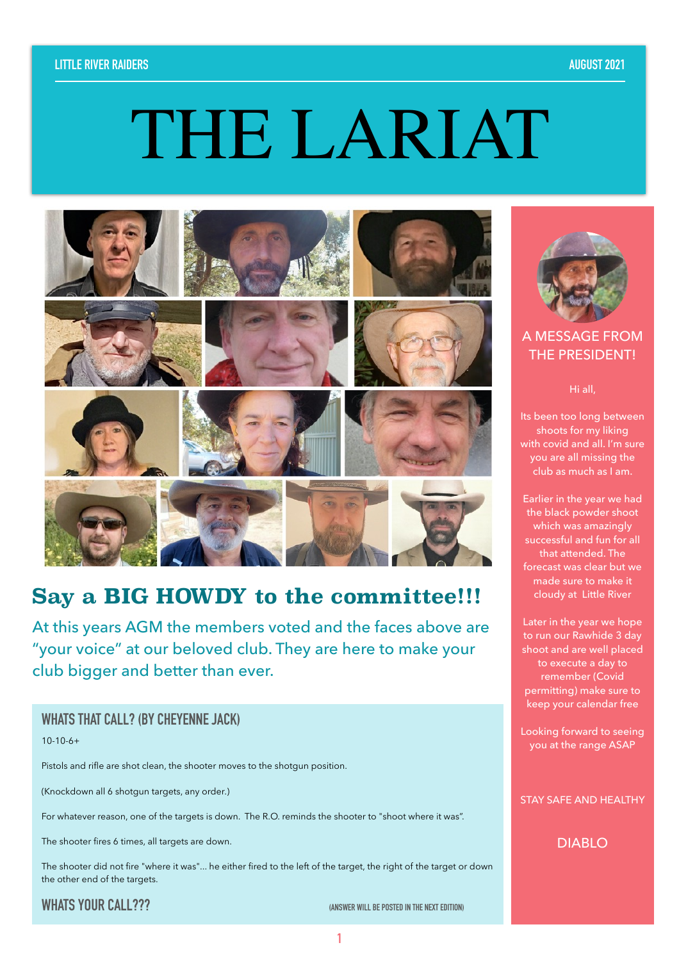#### **LITTLE RIVER RAIDERS AUGUST 2021**

# THE LARIAT



# **Say a BIG HOWDY to the committee!!!**

At this years AGM the members voted and the faces above are "your voice" at our beloved club. They are here to make your club bigger and better than ever.

#### **WHATS THAT CALL? (BY CHEYENNE JACK)**

10-10-6+

Pistols and rifle are shot clean, the shooter moves to the shotgun position.

(Knockdown all 6 shotgun targets, any order.)

For whatever reason, one of the targets is down. The R.O. reminds the shooter to "shoot where it was".

The shooter fires 6 times, all targets are down.

The shooter did not fire "where it was"... he either fired to the left of the target, the right of the target or down the other end of the targets.

**WHATS YOUR CALL??? CALL??? CALL??? CALL?** 

**1**



#### A MESSAGE FROM THE PRESIDENT!

Hi all,

Its been too long between shoots for my liking with covid and all. I'm sure you are all missing the club as much as I am.

Earlier in the year we had the black powder shoot which was amazingly successful and fun for all that attended. The forecast was clear but we made sure to make it cloudy at Little River

Later in the year we hope to run our Rawhide 3 day shoot and are well placed to execute a day to remember (Covid permitting) make sure to keep your calendar free

Looking forward to seeing you at the range ASAP

STAY SAFE AND HEALTHY

DIABLO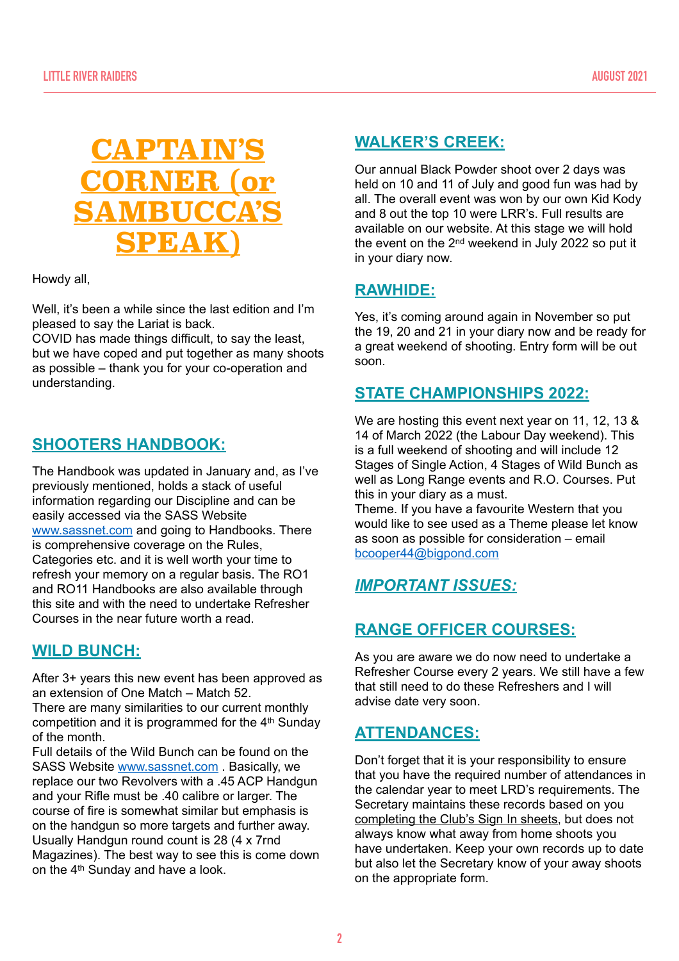

Howdy all,

Well, it's been a while since the last edition and I'm pleased to say the Lariat is back.

COVID has made things difficult, to say the least, but we have coped and put together as many shoots as possible – thank you for your co-operation and understanding.

# **SHOOTERS HANDBOOK:**

The Handbook was updated in January and, as I've previously mentioned, holds a stack of useful information regarding our Discipline and can be easily accessed via the SASS Website [www.sassnet.com](http://www.sassnet.com) and going to Handbooks. There is comprehensive coverage on the Rules, Categories etc. and it is well worth your time to refresh your memory on a regular basis. The RO1 and RO11 Handbooks are also available through this site and with the need to undertake Refresher Courses in the near future worth a read.

#### **WILD BUNCH:**

After 3+ years this new event has been approved as an extension of One Match – Match 52.

There are many similarities to our current monthly competition and it is programmed for the 4th Sunday of the month.

Full details of the Wild Bunch can be found on the SASS Website [www.sassnet.com](http://www.sassnet.com) . Basically, we replace our two Revolvers with a .45 ACP Handgun and your Rifle must be .40 calibre or larger. The course of fire is somewhat similar but emphasis is on the handgun so more targets and further away. Usually Handgun round count is 28 (4 x 7rnd Magazines). The best way to see this is come down on the 4th Sunday and have a look.

# **WALKER'S CREEK:**

Our annual Black Powder shoot over 2 days was held on 10 and 11 of July and good fun was had by all. The overall event was won by our own Kid Kody and 8 out the top 10 were LRR's. Full results are available on our website. At this stage we will hold the event on the 2nd weekend in July 2022 so put it in your diary now.

### **RAWHIDE:**

Yes, it's coming around again in November so put the 19, 20 and 21 in your diary now and be ready for a great weekend of shooting. Entry form will be out soon.

# **STATE CHAMPIONSHIPS 2022:**

We are hosting this event next year on 11, 12, 13 & 14 of March 2022 (the Labour Day weekend). This is a full weekend of shooting and will include 12 Stages of Single Action, 4 Stages of Wild Bunch as well as Long Range events and R.O. Courses. Put this in your diary as a must.

Theme. If you have a favourite Western that you would like to see used as a Theme please let know as soon as possible for consideration – email [bcooper44@bigpond.com](mailto:bcooper44@bigpond.com)

# *IMPORTANT ISSUES:*

# **RANGE OFFICER COURSES:**

As you are aware we do now need to undertake a Refresher Course every 2 years. We still have a few that still need to do these Refreshers and I will advise date very soon.

# **ATTENDANCES:**

Don't forget that it is your responsibility to ensure that you have the required number of attendances in the calendar year to meet LRD's requirements. The Secretary maintains these records based on you completing the Club's Sign In sheets, but does not always know what away from home shoots you have undertaken. Keep your own records up to date but also let the Secretary know of your away shoots on the appropriate form.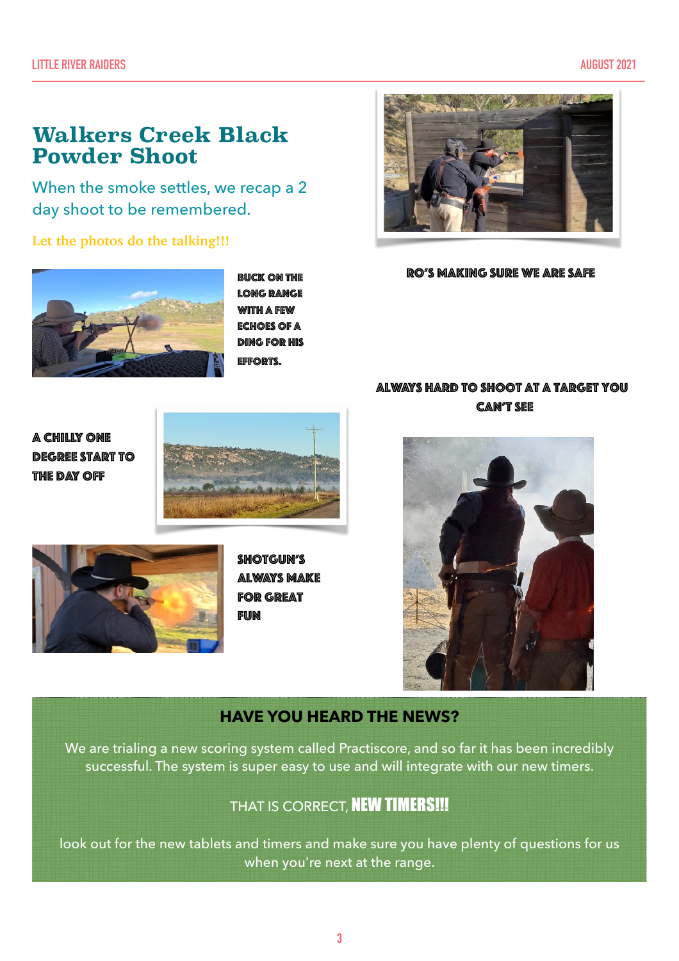# **Walkers Creek Black Powder Shoot**

When the smoke settles, we recap a 2 day shoot to be remembered.

#### **Let the photos do the talking!!!**



Buck on the long range with a few echoes of a ding for his efforts.



#### RO's making sure we are safe

#### Always hard to shoot at a target you can't see

A chilly one degree start to the day off





SHOTGUN'S always make FOR GREAT **FUN** 



#### **HAVE YOU HEARD THE NEWS?**

We are trialing a new scoring system called Practiscore, and so far it has been incredibly successful. The system is super easy to use and will integrate with our new timers.

# THAT IS CORRECT. NEW TIMERS!!!

look out for the new tablets and timers and make sure you have plenty of questions for us when you're next at the range.